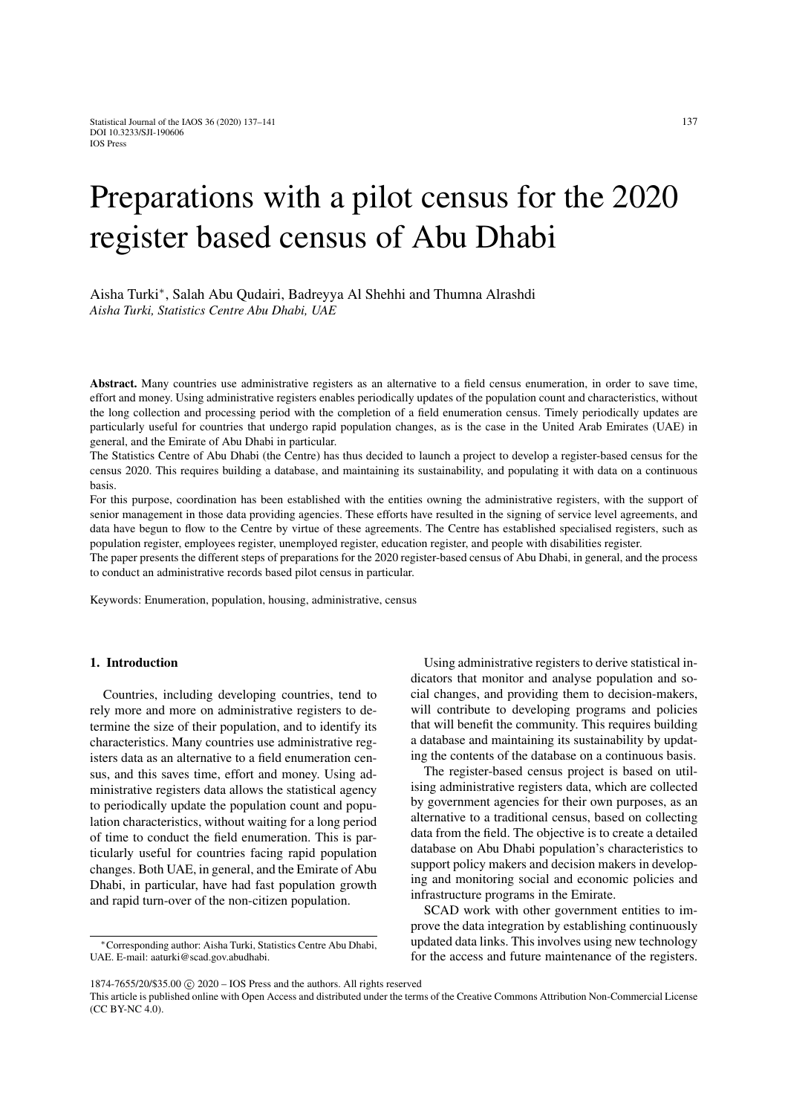# Preparations with a pilot census for the 2020 register based census of Abu Dhabi

Aisha Turki<sup>∗</sup> , Salah Abu Qudairi, Badreyya Al Shehhi and Thumna Alrashdi *Aisha Turki, Statistics Centre Abu Dhabi, UAE*

Abstract. Many countries use administrative registers as an alternative to a field census enumeration, in order to save time, effort and money. Using administrative registers enables periodically updates of the population count and characteristics, without the long collection and processing period with the completion of a field enumeration census. Timely periodically updates are particularly useful for countries that undergo rapid population changes, as is the case in the United Arab Emirates (UAE) in general, and the Emirate of Abu Dhabi in particular.

The Statistics Centre of Abu Dhabi (the Centre) has thus decided to launch a project to develop a register-based census for the census 2020. This requires building a database, and maintaining its sustainability, and populating it with data on a continuous basis.

For this purpose, coordination has been established with the entities owning the administrative registers, with the support of senior management in those data providing agencies. These efforts have resulted in the signing of service level agreements, and data have begun to flow to the Centre by virtue of these agreements. The Centre has established specialised registers, such as population register, employees register, unemployed register, education register, and people with disabilities register.

The paper presents the different steps of preparations for the 2020 register-based census of Abu Dhabi, in general, and the process to conduct an administrative records based pilot census in particular.

Keywords: Enumeration, population, housing, administrative, census

# 1. Introduction

Countries, including developing countries, tend to rely more and more on administrative registers to determine the size of their population, and to identify its characteristics. Many countries use administrative registers data as an alternative to a field enumeration census, and this saves time, effort and money. Using administrative registers data allows the statistical agency to periodically update the population count and population characteristics, without waiting for a long period of time to conduct the field enumeration. This is particularly useful for countries facing rapid population changes. Both UAE, in general, and the Emirate of Abu Dhabi, in particular, have had fast population growth and rapid turn-over of the non-citizen population.

Using administrative registers to derive statistical indicators that monitor and analyse population and social changes, and providing them to decision-makers, will contribute to developing programs and policies that will benefit the community. This requires building a database and maintaining its sustainability by updating the contents of the database on a continuous basis.

The register-based census project is based on utilising administrative registers data, which are collected by government agencies for their own purposes, as an alternative to a traditional census, based on collecting data from the field. The objective is to create a detailed database on Abu Dhabi population's characteristics to support policy makers and decision makers in developing and monitoring social and economic policies and infrastructure programs in the Emirate.

SCAD work with other government entities to improve the data integration by establishing continuously updated data links. This involves using new technology for the access and future maintenance of the registers.

<sup>∗</sup>Corresponding author: Aisha Turki, Statistics Centre Abu Dhabi, UAE. E-mail: aaturki@scad.gov.abudhabi.

<sup>1874-7655/20/\$35.00 © 2020 -</sup> IOS Press and the authors. All rights reserved

This article is published online with Open Access and distributed under the terms of the Creative Commons Attribution Non-Commercial License (CC BY-NC 4.0).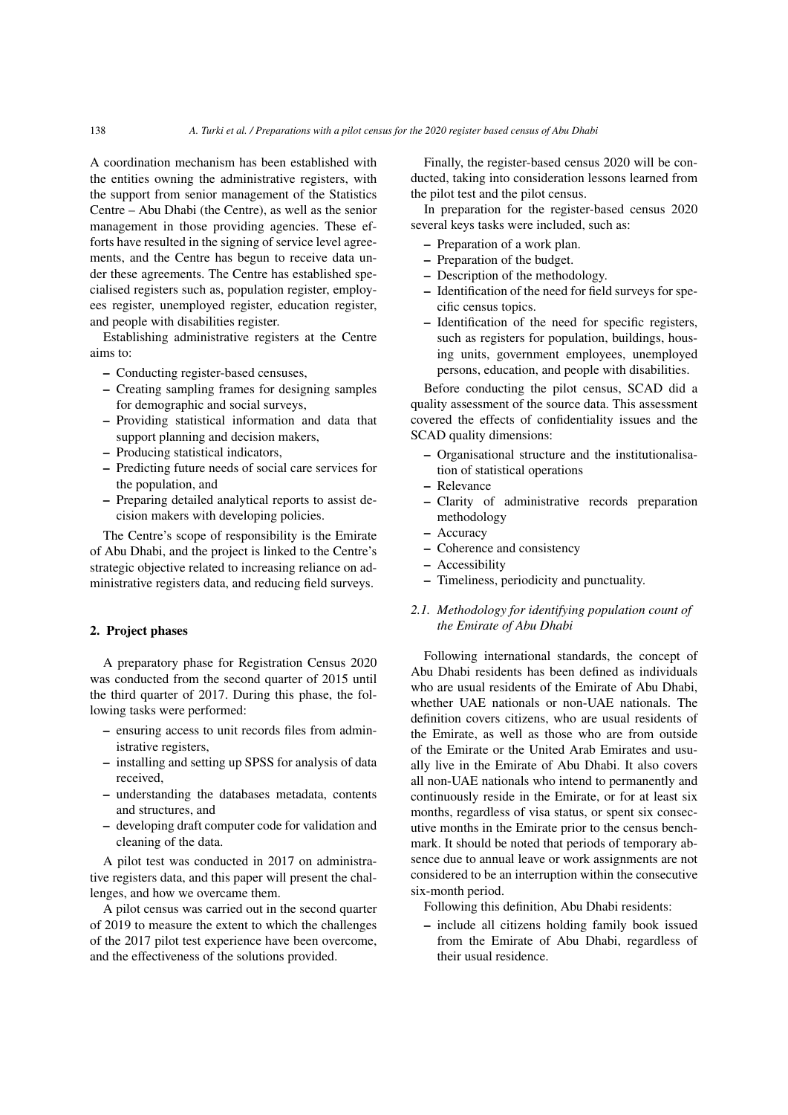A coordination mechanism has been established with the entities owning the administrative registers, with the support from senior management of the Statistics Centre – Abu Dhabi (the Centre), as well as the senior management in those providing agencies. These efforts have resulted in the signing of service level agreements, and the Centre has begun to receive data under these agreements. The Centre has established specialised registers such as, population register, employees register, unemployed register, education register, and people with disabilities register.

Establishing administrative registers at the Centre aims to:

- Conducting register-based censuses,
- Creating sampling frames for designing samples for demographic and social surveys,
- Providing statistical information and data that support planning and decision makers,
- Producing statistical indicators,
- Predicting future needs of social care services for the population, and
- Preparing detailed analytical reports to assist decision makers with developing policies.

The Centre's scope of responsibility is the Emirate of Abu Dhabi, and the project is linked to the Centre's strategic objective related to increasing reliance on administrative registers data, and reducing field surveys.

# 2. Project phases

A preparatory phase for Registration Census 2020 was conducted from the second quarter of 2015 until the third quarter of 2017. During this phase, the following tasks were performed:

- ensuring access to unit records files from administrative registers,
- installing and setting up SPSS for analysis of data received,
- understanding the databases metadata, contents and structures, and
- developing draft computer code for validation and cleaning of the data.

A pilot test was conducted in 2017 on administrative registers data, and this paper will present the challenges, and how we overcame them.

A pilot census was carried out in the second quarter of 2019 to measure the extent to which the challenges of the 2017 pilot test experience have been overcome, and the effectiveness of the solutions provided.

Finally, the register-based census 2020 will be conducted, taking into consideration lessons learned from the pilot test and the pilot census.

In preparation for the register-based census 2020 several keys tasks were included, such as:

- Preparation of a work plan.
- Preparation of the budget.
- Description of the methodology.
- Identification of the need for field surveys for specific census topics.
- Identification of the need for specific registers, such as registers for population, buildings, housing units, government employees, unemployed persons, education, and people with disabilities.

Before conducting the pilot census, SCAD did a quality assessment of the source data. This assessment covered the effects of confidentiality issues and the SCAD quality dimensions:

- Organisational structure and the institutionalisation of statistical operations
- Relevance
- Clarity of administrative records preparation methodology
- Accuracy
- Coherence and consistency
- Accessibility
- Timeliness, periodicity and punctuality.
- *2.1. Methodology for identifying population count of the Emirate of Abu Dhabi*

Following international standards, the concept of Abu Dhabi residents has been defined as individuals who are usual residents of the Emirate of Abu Dhabi, whether UAE nationals or non-UAE nationals. The definition covers citizens, who are usual residents of the Emirate, as well as those who are from outside of the Emirate or the United Arab Emirates and usually live in the Emirate of Abu Dhabi. It also covers all non-UAE nationals who intend to permanently and continuously reside in the Emirate, or for at least six months, regardless of visa status, or spent six consecutive months in the Emirate prior to the census benchmark. It should be noted that periods of temporary absence due to annual leave or work assignments are not considered to be an interruption within the consecutive six-month period.

- Following this definition, Abu Dhabi residents:
- include all citizens holding family book issued from the Emirate of Abu Dhabi, regardless of their usual residence.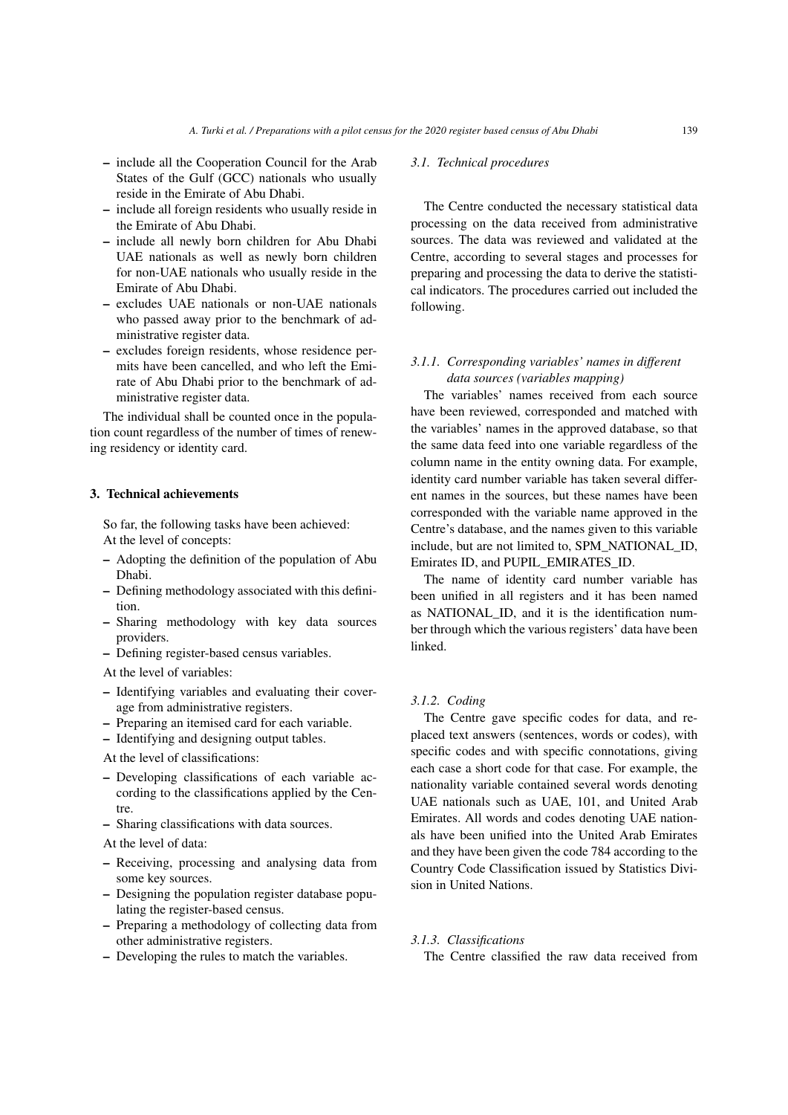- include all the Cooperation Council for the Arab States of the Gulf (GCC) nationals who usually reside in the Emirate of Abu Dhabi.
- include all foreign residents who usually reside in the Emirate of Abu Dhabi.
- include all newly born children for Abu Dhabi UAE nationals as well as newly born children for non-UAE nationals who usually reside in the Emirate of Abu Dhabi.
- excludes UAE nationals or non-UAE nationals who passed away prior to the benchmark of administrative register data.
- excludes foreign residents, whose residence permits have been cancelled, and who left the Emirate of Abu Dhabi prior to the benchmark of administrative register data.

The individual shall be counted once in the population count regardless of the number of times of renewing residency or identity card.

# 3. Technical achievements

So far, the following tasks have been achieved: At the level of concepts:

- Adopting the definition of the population of Abu Dhabi.
- Defining methodology associated with this definition.
- Sharing methodology with key data sources providers.
- Defining register-based census variables.
- At the level of variables:
- Identifying variables and evaluating their coverage from administrative registers.
- Preparing an itemised card for each variable.
- Identifying and designing output tables.
- At the level of classifications:
- Developing classifications of each variable according to the classifications applied by the Centre.
- Sharing classifications with data sources.
- At the level of data:
- Receiving, processing and analysing data from some key sources.
- Designing the population register database populating the register-based census.
- Preparing a methodology of collecting data from other administrative registers.
- Developing the rules to match the variables.

### *3.1. Technical procedures*

The Centre conducted the necessary statistical data processing on the data received from administrative sources. The data was reviewed and validated at the Centre, according to several stages and processes for preparing and processing the data to derive the statistical indicators. The procedures carried out included the following.

# *3.1.1. Corresponding variables' names in different data sources (variables mapping)*

The variables' names received from each source have been reviewed, corresponded and matched with the variables' names in the approved database, so that the same data feed into one variable regardless of the column name in the entity owning data. For example, identity card number variable has taken several different names in the sources, but these names have been corresponded with the variable name approved in the Centre's database, and the names given to this variable include, but are not limited to, SPM\_NATIONAL\_ID, Emirates ID, and PUPIL\_EMIRATES\_ID.

The name of identity card number variable has been unified in all registers and it has been named as NATIONAL\_ID, and it is the identification number through which the various registers' data have been linked.

# *3.1.2. Coding*

The Centre gave specific codes for data, and replaced text answers (sentences, words or codes), with specific codes and with specific connotations, giving each case a short code for that case. For example, the nationality variable contained several words denoting UAE nationals such as UAE, 101, and United Arab Emirates. All words and codes denoting UAE nationals have been unified into the United Arab Emirates and they have been given the code 784 according to the Country Code Classification issued by Statistics Division in United Nations.

## *3.1.3. Classifications*

The Centre classified the raw data received from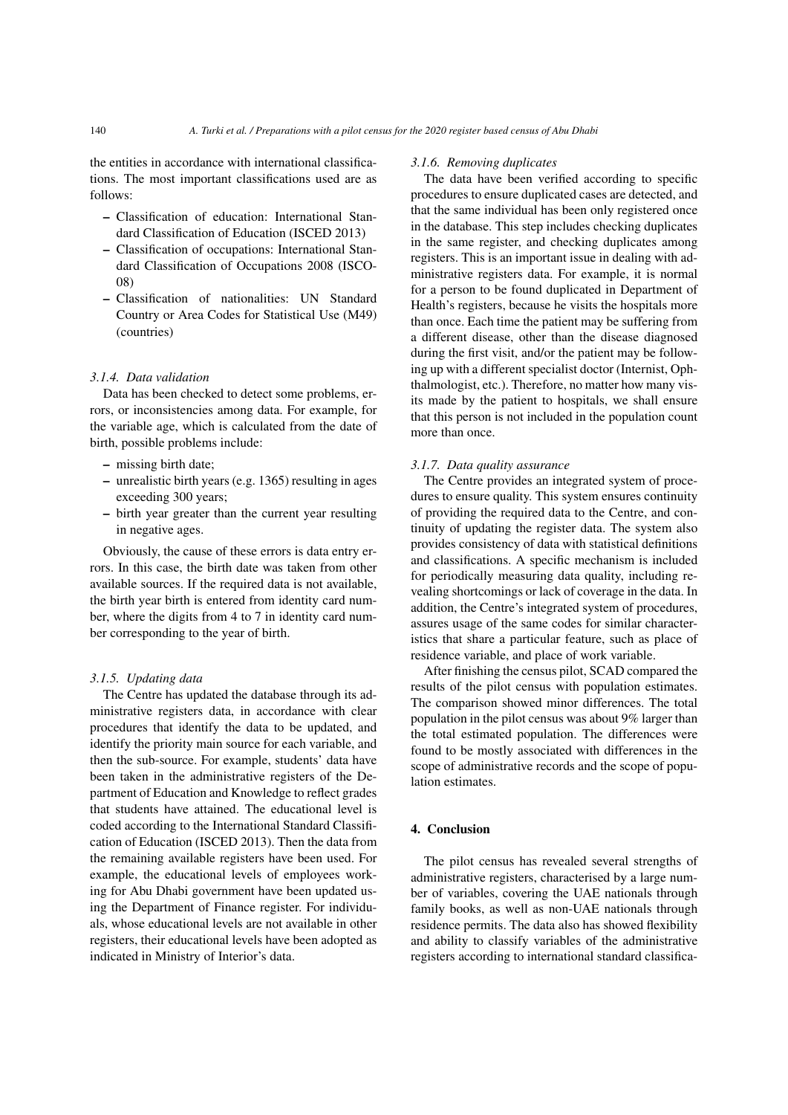the entities in accordance with international classifications. The most important classifications used are as follows:

- Classification of education: International Standard Classification of Education (ISCED 2013)
- Classification of occupations: International Standard Classification of Occupations 2008 (ISCO-08)
- Classification of nationalities: UN Standard Country or Area Codes for Statistical Use (M49) (countries)

# *3.1.4. Data validation*

Data has been checked to detect some problems, errors, or inconsistencies among data. For example, for the variable age, which is calculated from the date of birth, possible problems include:

- missing birth date;
- unrealistic birth years (e.g. 1365) resulting in ages exceeding 300 years;
- birth year greater than the current year resulting in negative ages.

Obviously, the cause of these errors is data entry errors. In this case, the birth date was taken from other available sources. If the required data is not available, the birth year birth is entered from identity card number, where the digits from 4 to 7 in identity card number corresponding to the year of birth.

# *3.1.5. Updating data*

The Centre has updated the database through its administrative registers data, in accordance with clear procedures that identify the data to be updated, and identify the priority main source for each variable, and then the sub-source. For example, students' data have been taken in the administrative registers of the Department of Education and Knowledge to reflect grades that students have attained. The educational level is coded according to the International Standard Classification of Education (ISCED 2013). Then the data from the remaining available registers have been used. For example, the educational levels of employees working for Abu Dhabi government have been updated using the Department of Finance register. For individuals, whose educational levels are not available in other registers, their educational levels have been adopted as indicated in Ministry of Interior's data.

#### *3.1.6. Removing duplicates*

The data have been verified according to specific procedures to ensure duplicated cases are detected, and that the same individual has been only registered once in the database. This step includes checking duplicates in the same register, and checking duplicates among registers. This is an important issue in dealing with administrative registers data. For example, it is normal for a person to be found duplicated in Department of Health's registers, because he visits the hospitals more than once. Each time the patient may be suffering from a different disease, other than the disease diagnosed during the first visit, and/or the patient may be following up with a different specialist doctor (Internist, Ophthalmologist, etc.). Therefore, no matter how many visits made by the patient to hospitals, we shall ensure that this person is not included in the population count more than once.

## *3.1.7. Data quality assurance*

The Centre provides an integrated system of procedures to ensure quality. This system ensures continuity of providing the required data to the Centre, and continuity of updating the register data. The system also provides consistency of data with statistical definitions and classifications. A specific mechanism is included for periodically measuring data quality, including revealing shortcomings or lack of coverage in the data. In addition, the Centre's integrated system of procedures, assures usage of the same codes for similar characteristics that share a particular feature, such as place of residence variable, and place of work variable.

After finishing the census pilot, SCAD compared the results of the pilot census with population estimates. The comparison showed minor differences. The total population in the pilot census was about 9% larger than the total estimated population. The differences were found to be mostly associated with differences in the scope of administrative records and the scope of population estimates.

#### 4. Conclusion

The pilot census has revealed several strengths of administrative registers, characterised by a large number of variables, covering the UAE nationals through family books, as well as non-UAE nationals through residence permits. The data also has showed flexibility and ability to classify variables of the administrative registers according to international standard classifica-